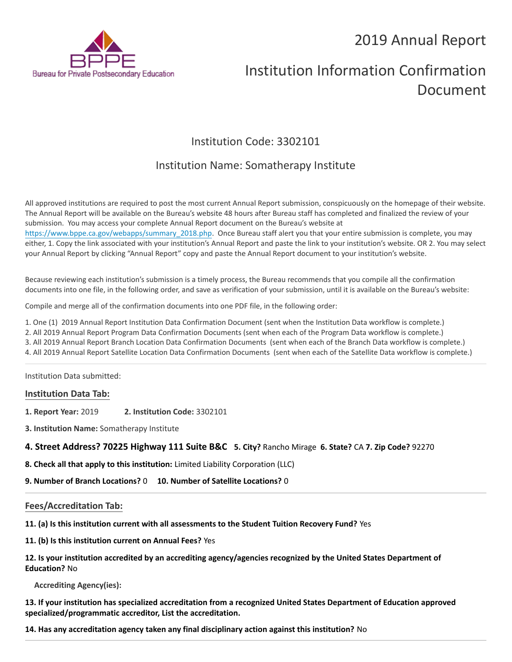# 2019 Annual Report



# Institution Information Confirmation Document

# Institution Code: 3302101

# Institution Name: Somatherapy Institute

All approved institutions are required to post the most current Annual Report submission, conspicuously on the homepage of their website. The Annual Report will be available on the Bureau's website 48 hours after Bureau staff has completed and finalized the review of your submission. You may access your complete Annual Report document on the Bureau's website at [https://www.bppe.ca.gov/webapps/summary\\_2018.php.](https://www.bppe.ca.gov/webapps/summary_2018.php) Once Bureau staff alert you that your entire submission is complete, you may either, 1. Copy the link associated with your institution's Annual Report and paste the link to your institution's website. OR 2. You may select your Annual Report by clicking "Annual Report" copy and paste the Annual Report document to your institution's website.

Because reviewing each institution's submission is a timely process, the Bureau recommends that you compile all the confirmation documents into one file, in the following order, and save as verification of your submission, until it is available on the Bureau's website:

Compile and merge all of the confirmation documents into one PDF file, in the following order:

1. One (1) 2019 Annual Report Institution Data Confirmation Document (sent when the Institution Data workflow is complete.)

2. All 2019 Annual Report Program Data Confirmation Documents (sent when each of the Program Data workflow is complete.)

3. All 2019 Annual Report Branch Location Data Confirmation Documents (sent when each of the Branch Data workflow is complete.)

4. All 2019 Annual Report Satellite Location Data Confirmation Documents (sent when each of the Satellite Data workflow is complete.)

Institution Data submitted:

## **Institution Data Tab:**

- **1. Report Year:** 2019 **2. Institution Code:** 3302101
- **3. Institution Name:** Somatherapy Institute

## **4. Street Address? 70225 Highway 111 Suite B&C 5. City?** Rancho Mirage  **6. State?** CA **7. Zip Code?** 92270

**8. Check all that apply to this institution:** Limited Liability Corporation (LLC)

**9. Number of Branch Locations?** 0 **10. Number of Satellite Locations?** 0

#### **Fees/Accreditation Tab:**

**11. (a) Is this institution current with all assessments to the Student Tuition Recovery Fund?** Yes

**11. (b) Is this institution current on Annual Fees?** Yes

# **12. Is your institution accredited by an accrediting agency/agencies recognized by the United States Department of Education?** No

**Accrediting Agency(ies):**

**13. If your institution has specialized accreditation from a recognized United States Department of Education approved specialized/programmatic accreditor, List the accreditation.**

**14. Has any accreditation agency taken any final disciplinary action against this institution?** No